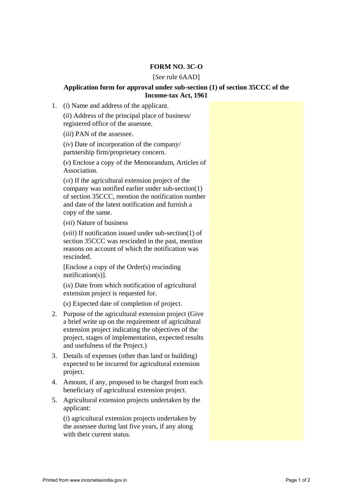## **FORM NO. 3C-O**

## [*See* rule 6AAD]

## **Application form for approval under sub-section (1) of section 35CCC of the Income-tax Act, 1961**

1. (*i*) Name and address of the applicant.

(*ii*) Address of the principal place of business/ registered office of the assessee.

(*iii*) PAN of the assessee.

(*iv*) Date of incorporation of the company/ partnership firm/proprietary concern.

(*v*) Enclose a copy of the Memorandum, Articles of Association.

(*vi*) If the agricultural extension project of the company was notified earlier under sub-section(1) of section 35CCC, mention the notification number and date of the latest notification and furnish a copy of the same.

(*vii*) Nature of business

(*viii*) If notification issued under sub-section(1) of section 35CCC was rescinded in the past, mention reasons on account of which the notification was rescinded.

[Enclose a copy of the Order(s) rescinding notification(s)].

(*ix*) Date from which notification of agricultural extension project is requested for.

(*x*) Expected date of completion of project.

- 2. Purpose of the agricultural extension project (Give a brief write up on the requirement of agricultural extension project indicating the objectives of the project, stages of implementation, expected results and usefulness of the Project.)
- 3. Details of expenses (other than land or building) expected to be incurred for agricultural extension project.
- 4. Amount, if any, proposed to be charged from each beneficiary of agricultural extension project.
- 5. Agricultural extension projects undertaken by the applicant:

(*i*) agricultural extension projects undertaken by the assessee during last five years, if any along with their current status.